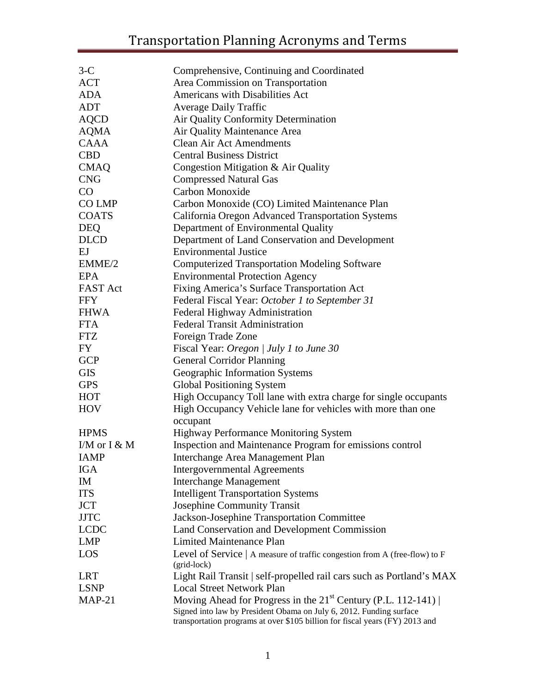| $3-C$           | Comprehensive, Continuing and Coordinated                                                                                                           |
|-----------------|-----------------------------------------------------------------------------------------------------------------------------------------------------|
| <b>ACT</b>      | Area Commission on Transportation                                                                                                                   |
| <b>ADA</b>      | Americans with Disabilities Act                                                                                                                     |
| <b>ADT</b>      | <b>Average Daily Traffic</b>                                                                                                                        |
| <b>AQCD</b>     | Air Quality Conformity Determination                                                                                                                |
| <b>AQMA</b>     | Air Quality Maintenance Area                                                                                                                        |
| <b>CAAA</b>     | <b>Clean Air Act Amendments</b>                                                                                                                     |
| <b>CBD</b>      | <b>Central Business District</b>                                                                                                                    |
| <b>CMAQ</b>     | Congestion Mitigation & Air Quality                                                                                                                 |
| <b>CNG</b>      | <b>Compressed Natural Gas</b>                                                                                                                       |
| CO              | Carbon Monoxide                                                                                                                                     |
| CO LMP          | Carbon Monoxide (CO) Limited Maintenance Plan                                                                                                       |
| <b>COATS</b>    | California Oregon Advanced Transportation Systems                                                                                                   |
| <b>DEQ</b>      | Department of Environmental Quality                                                                                                                 |
| <b>DLCD</b>     | Department of Land Conservation and Development                                                                                                     |
| EJ              | <b>Environmental Justice</b>                                                                                                                        |
| EMME/2          | <b>Computerized Transportation Modeling Software</b>                                                                                                |
| EPA             | <b>Environmental Protection Agency</b>                                                                                                              |
| <b>FAST Act</b> | Fixing America's Surface Transportation Act                                                                                                         |
| <b>FFY</b>      | Federal Fiscal Year: October 1 to September 31                                                                                                      |
| <b>FHWA</b>     | Federal Highway Administration                                                                                                                      |
| <b>FTA</b>      | <b>Federal Transit Administration</b>                                                                                                               |
| <b>FTZ</b>      | Foreign Trade Zone                                                                                                                                  |
| FY              | Fiscal Year: Oregon / July 1 to June 30                                                                                                             |
| <b>GCP</b>      | <b>General Corridor Planning</b>                                                                                                                    |
| <b>GIS</b>      | Geographic Information Systems                                                                                                                      |
| <b>GPS</b>      | <b>Global Positioning System</b>                                                                                                                    |
| <b>HOT</b>      | High Occupancy Toll lane with extra charge for single occupants                                                                                     |
| <b>HOV</b>      | High Occupancy Vehicle lane for vehicles with more than one                                                                                         |
|                 | occupant                                                                                                                                            |
| <b>HPMS</b>     | <b>Highway Performance Monitoring System</b>                                                                                                        |
| I/M or I & M    | Inspection and Maintenance Program for emissions control                                                                                            |
| <b>IAMP</b>     | Interchange Area Management Plan                                                                                                                    |
| <b>IGA</b>      | <b>Intergovernmental Agreements</b>                                                                                                                 |
| IM              | <b>Interchange Management</b>                                                                                                                       |
| <b>ITS</b>      | <b>Intelligent Transportation Systems</b>                                                                                                           |
| <b>JCT</b>      | <b>Josephine Community Transit</b>                                                                                                                  |
| <b>JJTC</b>     | Jackson-Josephine Transportation Committee                                                                                                          |
| <b>LCDC</b>     | Land Conservation and Development Commission                                                                                                        |
| <b>LMP</b>      | <b>Limited Maintenance Plan</b>                                                                                                                     |
| LOS             | Level of Service   A measure of traffic congestion from A (free-flow) to F<br>(grid-lock)                                                           |
| <b>LRT</b>      | Light Rail Transit   self-propelled rail cars such as Portland's MAX                                                                                |
| <b>LSNP</b>     | <b>Local Street Network Plan</b>                                                                                                                    |
| $MAP-21$        | Moving Ahead for Progress in the $21st$ Century (P.L. 112-141)                                                                                      |
|                 | Signed into law by President Obama on July 6, 2012. Funding surface<br>transportation programs at over \$105 billion for fiscal years (FY) 2013 and |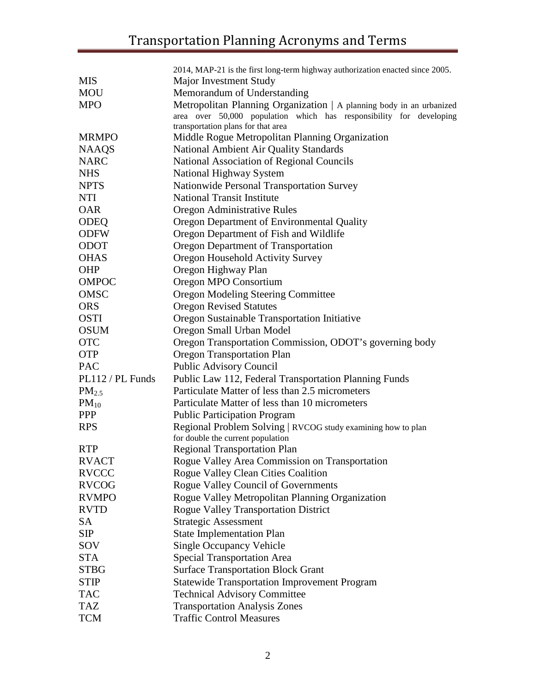|                  | 2014, MAP-21 is the first long-term highway authorization enacted since 2005. |
|------------------|-------------------------------------------------------------------------------|
| <b>MIS</b>       | Major Investment Study                                                        |
| <b>MOU</b>       | Memorandum of Understanding                                                   |
| <b>MPO</b>       | Metropolitan Planning Organization   A planning body in an urbanized          |
|                  | area over 50,000 population which has responsibility for developing           |
|                  | transportation plans for that area                                            |
| <b>MRMPO</b>     | Middle Rogue Metropolitan Planning Organization                               |
| <b>NAAQS</b>     | National Ambient Air Quality Standards                                        |
| <b>NARC</b>      | <b>National Association of Regional Councils</b>                              |
| <b>NHS</b>       | National Highway System                                                       |
| <b>NPTS</b>      | <b>Nationwide Personal Transportation Survey</b>                              |
| <b>NTI</b>       | <b>National Transit Institute</b>                                             |
| <b>OAR</b>       | Oregon Administrative Rules                                                   |
| <b>ODEQ</b>      | Oregon Department of Environmental Quality                                    |
| <b>ODFW</b>      | Oregon Department of Fish and Wildlife                                        |
| <b>ODOT</b>      | Oregon Department of Transportation                                           |
| <b>OHAS</b>      | Oregon Household Activity Survey                                              |
| <b>OHP</b>       | Oregon Highway Plan                                                           |
| <b>OMPOC</b>     | Oregon MPO Consortium                                                         |
| <b>OMSC</b>      | <b>Oregon Modeling Steering Committee</b>                                     |
| <b>ORS</b>       | <b>Oregon Revised Statutes</b>                                                |
| <b>OSTI</b>      | Oregon Sustainable Transportation Initiative                                  |
| <b>OSUM</b>      | Oregon Small Urban Model                                                      |
| <b>OTC</b>       | Oregon Transportation Commission, ODOT's governing body                       |
| <b>OTP</b>       | <b>Oregon Transportation Plan</b>                                             |
| <b>PAC</b>       | <b>Public Advisory Council</b>                                                |
| PL112 / PL Funds | Public Law 112, Federal Transportation Planning Funds                         |
| $PM_{2.5}$       | Particulate Matter of less than 2.5 micrometers                               |
| $PM_{10}$        | Particulate Matter of less than 10 micrometers                                |
| <b>PPP</b>       | <b>Public Participation Program</b>                                           |
| <b>RPS</b>       | Regional Problem Solving   RVCOG study examining how to plan                  |
|                  | for double the current population                                             |
| <b>RTP</b>       | <b>Regional Transportation Plan</b>                                           |
| <b>RVACT</b>     | Rogue Valley Area Commission on Transportation                                |
| <b>RVCCC</b>     | Rogue Valley Clean Cities Coalition                                           |
| <b>RVCOG</b>     | <b>Rogue Valley Council of Governments</b>                                    |
| <b>RVMPO</b>     | Rogue Valley Metropolitan Planning Organization                               |
| <b>RVTD</b>      | <b>Rogue Valley Transportation District</b>                                   |
| <b>SA</b>        | <b>Strategic Assessment</b>                                                   |
| <b>SIP</b>       | <b>State Implementation Plan</b>                                              |
| SOV              | <b>Single Occupancy Vehicle</b>                                               |
| <b>STA</b>       | <b>Special Transportation Area</b>                                            |
| <b>STBG</b>      | <b>Surface Transportation Block Grant</b>                                     |
| <b>STIP</b>      | <b>Statewide Transportation Improvement Program</b>                           |
| <b>TAC</b>       | <b>Technical Advisory Committee</b>                                           |
| <b>TAZ</b>       | <b>Transportation Analysis Zones</b>                                          |
| <b>TCM</b>       | <b>Traffic Control Measures</b>                                               |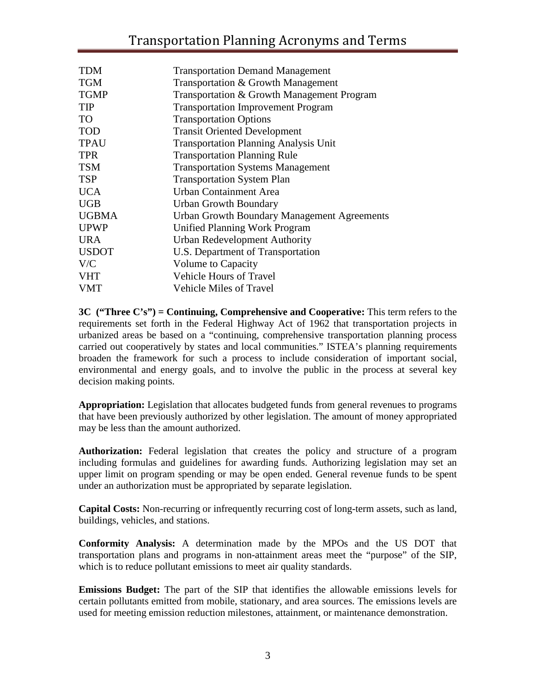| <b>TDM</b>   | <b>Transportation Demand Management</b>            |
|--------------|----------------------------------------------------|
| <b>TGM</b>   | Transportation & Growth Management                 |
| <b>TGMP</b>  | Transportation & Growth Management Program         |
| <b>TIP</b>   | <b>Transportation Improvement Program</b>          |
| <b>TO</b>    | <b>Transportation Options</b>                      |
| <b>TOD</b>   | <b>Transit Oriented Development</b>                |
| <b>TPAU</b>  | <b>Transportation Planning Analysis Unit</b>       |
| <b>TPR</b>   | <b>Transportation Planning Rule</b>                |
| <b>TSM</b>   | <b>Transportation Systems Management</b>           |
| <b>TSP</b>   | <b>Transportation System Plan</b>                  |
| <b>UCA</b>   | Urban Containment Area                             |
| <b>UGB</b>   | Urban Growth Boundary                              |
| <b>UGBMA</b> | <b>Urban Growth Boundary Management Agreements</b> |
| <b>UPWP</b>  | Unified Planning Work Program                      |
| <b>URA</b>   | <b>Urban Redevelopment Authority</b>               |
| <b>USDOT</b> | U.S. Department of Transportation                  |
| V/C          | <b>Volume to Capacity</b>                          |
| <b>VHT</b>   | <b>Vehicle Hours of Travel</b>                     |
| <b>VMT</b>   | <b>Vehicle Miles of Travel</b>                     |

**3C ("Three C's") = Continuing, Comprehensive and Cooperative:** This term refers to the requirements set forth in the Federal Highway Act of 1962 that transportation projects in urbanized areas be based on a "continuing, comprehensive transportation planning process carried out cooperatively by states and local communities." ISTEA's planning requirements broaden the framework for such a process to include consideration of important social, environmental and energy goals, and to involve the public in the process at several key decision making points.

**Appropriation:** Legislation that allocates budgeted funds from general revenues to programs that have been previously authorized by other legislation. The amount of money appropriated may be less than the amount authorized.

**Authorization:** Federal legislation that creates the policy and structure of a program including formulas and guidelines for awarding funds. Authorizing legislation may set an upper limit on program spending or may be open ended. General revenue funds to be spent under an authorization must be appropriated by separate legislation.

**Capital Costs:** Non-recurring or infrequently recurring cost of long-term assets, such as land, buildings, vehicles, and stations.

**Conformity Analysis:** A determination made by the MPOs and the US DOT that transportation plans and programs in non-attainment areas meet the "purpose" of the SIP, which is to reduce pollutant emissions to meet air quality standards.

**Emissions Budget:** The part of the SIP that identifies the allowable emissions levels for certain pollutants emitted from mobile, stationary, and area sources. The emissions levels are used for meeting emission reduction milestones, attainment, or maintenance demonstration.